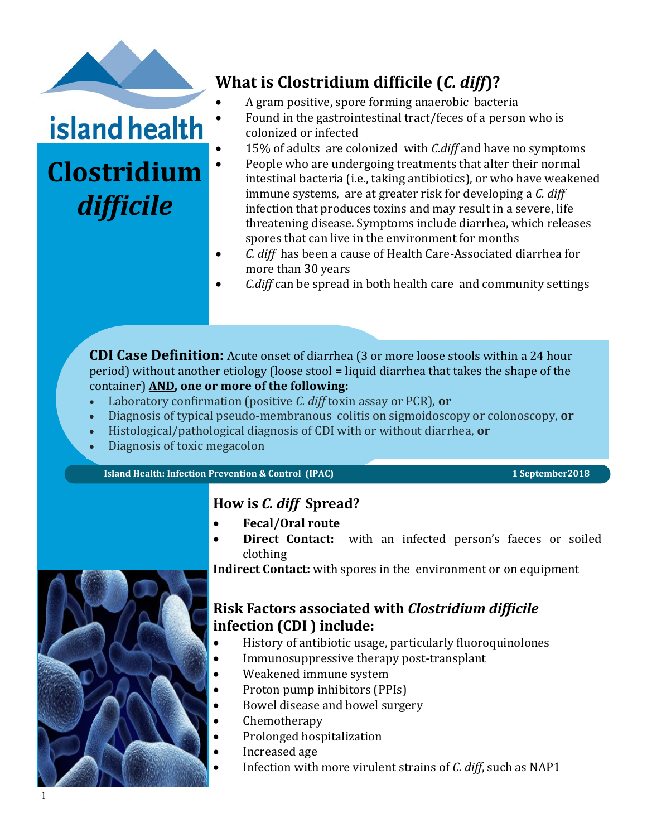

# island health

# **Clostridium**  *difficile*

# **What is Clostridium difficile (***C. diff***)?**

- A gram positive, spore forming anaerobic bacteria
- Found in the gastrointestinal tract/feces of a person who is colonized or infected
- 15% of adults are colonized with *C.diff* and have no symptoms
- People who are undergoing treatments that alter their normal intestinal bacteria (i.e., taking antibiotics), or who have weakened immune systems, are at greater risk for developing a *C. diff*  infection that produces toxins and may result in a severe, life threatening disease. Symptoms include diarrhea, which releases spores that can live in the environment for months
- *C. diff* has been a cause of Health Care-Associated diarrhea for more than 30 years
- *C.diff* can be spread in both health care and community settings

**CDI Case Definition:** Acute onset of diarrhea (3 or more loose stools within a 24 hour period) without another etiology (loose stool = liquid diarrhea that takes the shape of the container) **AND, one or more of the following:**

- Laboratory confirmation (positive *C. diff* toxin assay or PCR), **or**
- Diagnosis of typical pseudo-membranous colitis on sigmoidoscopy or colonoscopy, **or**
- Histological/pathological diagnosis of CDI with or without diarrhea, **or**
- Diagnosis of toxic megacolon

**Island Health: Infection Prevention & Control (IPAC)** 1 September 2018

## **How is** *C. diff* **Spread?**

- **Fecal/Oral route**
- **Direct Contact:** with an infected person's faeces or soiled clothing

**Indirect Contact:** with spores in the environment or on equipment



## **Risk Factors associated with** *Clostridium difficile*  **infection (CDI ) include:**

- History of antibiotic usage, particularly fluoroquinolones
- Immunosuppressive therapy post-transplant
- Weakened immune system
- Proton pump inhibitors (PPIs)
- Bowel disease and bowel surgery
- Chemotherapy
- Prolonged hospitalization
- Increased age
- Infection with more virulent strains of *C. diff*, such as NAP1